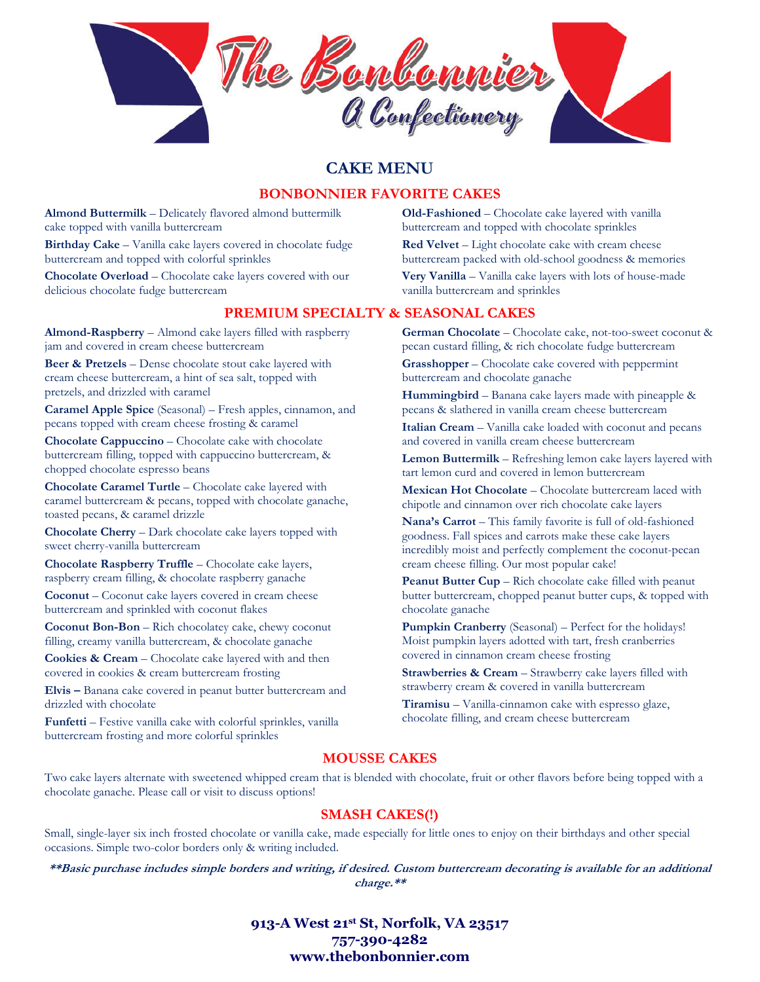

# **CAKE MENU**

## **BONBONNIER FAVORITE CAKES**

**Almond Buttermilk** – Delicately flavored almond buttermilk cake topped with vanilla buttercream

**Birthday Cake** – Vanilla cake layers covered in chocolate fudge buttercream and topped with colorful sprinkles

**Chocolate Overload** – Chocolate cake layers covered with our delicious chocolate fudge buttercream

## **PREMIUM SPECIALTY & SEASONAL CAKES**

**Almond-Raspberry** – Almond cake layers filled with raspberry jam and covered in cream cheese buttercream

**Beer & Pretzels** – Dense chocolate stout cake layered with cream cheese buttercream, a hint of sea salt, topped with pretzels, and drizzled with caramel

**Caramel Apple Spice** (Seasonal) – Fresh apples, cinnamon, and pecans topped with cream cheese frosting & caramel

**Chocolate Cappuccino** – Chocolate cake with chocolate buttercream filling, topped with cappuccino buttercream, & chopped chocolate espresso beans

**Chocolate Caramel Turtle** – Chocolate cake layered with caramel buttercream & pecans, topped with chocolate ganache, toasted pecans, & caramel drizzle

**Chocolate Cherry** – Dark chocolate cake layers topped with sweet cherry-vanilla buttercream

**Chocolate Raspberry Truffle** – Chocolate cake layers, raspberry cream filling, & chocolate raspberry ganache

**Coconut** – Coconut cake layers covered in cream cheese buttercream and sprinkled with coconut flakes

**Coconut Bon-Bon** – Rich chocolatey cake, chewy coconut filling, creamy vanilla buttercream, & chocolate ganache

**Cookies & Cream** – Chocolate cake layered with and then covered in cookies & cream buttercream frosting

**Elvis –** Banana cake covered in peanut butter buttercream and drizzled with chocolate

**Funfetti** – Festive vanilla cake with colorful sprinkles, vanilla buttercream frosting and more colorful sprinkles

**Old-Fashioned** – Chocolate cake layered with vanilla buttercream and topped with chocolate sprinkles

**Red Velvet** – Light chocolate cake with cream cheese buttercream packed with old-school goodness & memories

**Very Vanilla** – Vanilla cake layers with lots of house-made vanilla buttercream and sprinkles

**German Chocolate** – Chocolate cake, not-too-sweet coconut & pecan custard filling, & rich chocolate fudge buttercream

**Grasshopper** – Chocolate cake covered with peppermint buttercream and chocolate ganache

**Hummingbird** – Banana cake layers made with pineapple & pecans & slathered in vanilla cream cheese buttercream

**Italian Cream** – Vanilla cake loaded with coconut and pecans and covered in vanilla cream cheese buttercream

**Lemon Buttermilk** – Refreshing lemon cake layers layered with tart lemon curd and covered in lemon buttercream

**Mexican Hot Chocolate** – Chocolate buttercream laced with chipotle and cinnamon over rich chocolate cake layers

**Nana's Carrot** – This family favorite is full of old-fashioned goodness. Fall spices and carrots make these cake layers incredibly moist and perfectly complement the coconut-pecan cream cheese filling. Our most popular cake!

**Peanut Butter Cup** – Rich chocolate cake filled with peanut butter buttercream, chopped peanut butter cups, & topped with chocolate ganache

**Pumpkin Cranberry** (Seasonal) – Perfect for the holidays! Moist pumpkin layers adotted with tart, fresh cranberries covered in cinnamon cream cheese frosting

**Strawberries & Cream** – Strawberry cake layers filled with strawberry cream & covered in vanilla buttercream

**Tiramisu** – Vanilla-cinnamon cake with espresso glaze, chocolate filling, and cream cheese buttercream

# **MOUSSE CAKES**

Two cake layers alternate with sweetened whipped cream that is blended with chocolate, fruit or other flavors before being topped with a chocolate ganache. Please call or visit to discuss options!

# **SMASH CAKES(!)**

Small, single-layer six inch frosted chocolate or vanilla cake, made especially for little ones to enjoy on their birthdays and other special occasions. Simple two-color borders only & writing included.

**\*\*Basic purchase includes simple borders and writing, if desired. Custom buttercream decorating is available for an additional charge.\*\***

> **913-A West 21st St, Norfolk, VA 23517 757-390-4282 www.thebonbonnier.com**